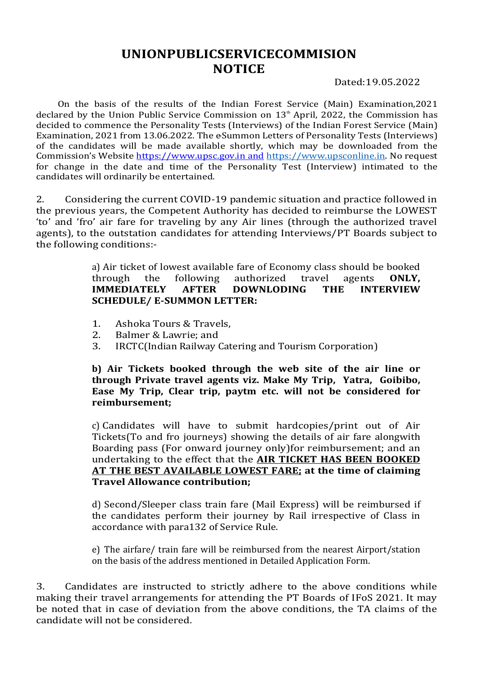## UNIONPUBLICSERVICECOMMISION **NOTICE**

Dated:19.05.2022

On the basis of the results of the Indian Forest Service (Main) Examination,2021 declared by the Union Public Service Commission on  $13<sup>th</sup>$  April, 2022, the Commission has decided to commence the Personality Tests (Interviews) of the Indian Forest Service (Main) Examination, 2021 from 13.06.2022. The eSummon Letters of Personality Tests (Interviews) of the candidates will be made available shortly, which may be downloaded from the Commission's Website https://www.upsc.gov.in and https://www.upsconline.in. No request for change in the date and time of the Personality Test (Interview) intimated to the candidates will ordinarily be entertained.

2. Considering the current COVID-19 pandemic situation and practice followed in the previous years, the Competent Authority has decided to reimburse the LOWEST 'to' and 'fro' air fare for traveling by any Air lines (through the authorized travel agents), to the outstation candidates for attending Interviews/PT Boards subject to the following conditions:-

> a) Air ticket of lowest available fare of Economy class should be booked through the following authorized travel agents ONLY, IMMEDIATELY AFTER DOWNLODING THE INTERVIEW SCHEDULE/ E-SUMMON LETTER:

- 1. Ashoka Tours & Travels,
- 2. Balmer & Lawrie; and
- 3. IRCTC(Indian Railway Catering and Tourism Corporation)

b) Air Tickets booked through the web site of the air line or through Private travel agents viz. Make My Trip, Yatra, Goibibo, Ease My Trip, Clear trip, paytm etc. will not be considered for reimbursement;

c) Candidates will have to submit hardcopies/print out of Air Tickets(To and fro journeys) showing the details of air fare alongwith Boarding pass (For onward journey only)for reimbursement; and an undertaking to the effect that the AIR TICKET HAS BEEN BOOKED AT THE BEST AVAILABLE LOWEST FARE; at the time of claiming Travel Allowance contribution;

d) Second/Sleeper class train fare (Mail Express) will be reimbursed if the candidates perform their journey by Rail irrespective of Class in accordance with para132 of Service Rule.

e) The airfare/ train fare will be reimbursed from the nearest Airport/station on the basis of the address mentioned in Detailed Application Form.

3. Candidates are instructed to strictly adhere to the above conditions while making their travel arrangements for attending the PT Boards of IFoS 2021. It may be noted that in case of deviation from the above conditions, the TA claims of the candidate will not be considered.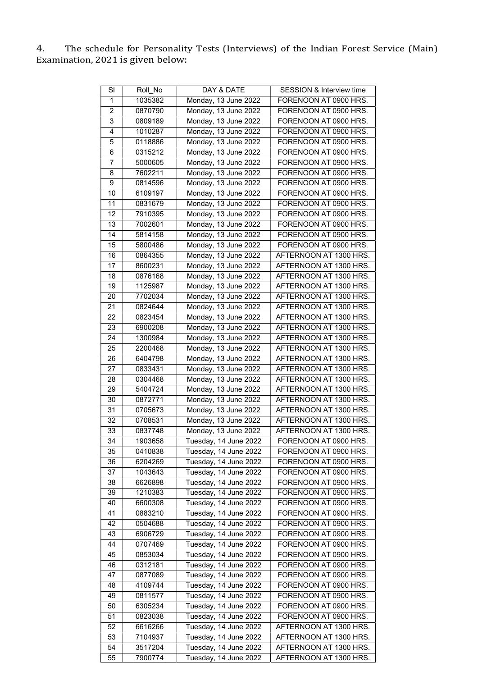4. The schedule for Personality Tests (Interviews) of the Indian Forest Service (Main) Examination, 2021 is given below:

| SI              | Roll_No | DAY & DATE            | SESSION & Interview time |
|-----------------|---------|-----------------------|--------------------------|
| 1               | 1035382 | Monday, 13 June 2022  | FORENOON AT 0900 HRS.    |
| $\overline{2}$  | 0870790 | Monday, 13 June 2022  | FORENOON AT 0900 HRS.    |
| 3               | 0809189 | Monday, 13 June 2022  | FORENOON AT 0900 HRS.    |
| 4               | 1010287 | Monday, 13 June 2022  | FORENOON AT 0900 HRS.    |
| 5               | 0118886 | Monday, 13 June 2022  | FORENOON AT 0900 HRS.    |
| 6               | 0315212 | Monday, 13 June 2022  | FORENOON AT 0900 HRS.    |
| 7               | 5000605 | Monday, 13 June 2022  | FORENOON AT 0900 HRS.    |
| 8               | 7602211 | Monday, 13 June 2022  | FORENOON AT 0900 HRS.    |
| 9               | 0814596 | Monday, 13 June 2022  | FORENOON AT 0900 HRS.    |
| 10              | 6109197 | Monday, 13 June 2022  | FORENOON AT 0900 HRS.    |
| $\overline{11}$ | 0831679 | Monday, 13 June 2022  | FORENOON AT 0900 HRS.    |
| 12              | 7910395 | Monday, 13 June 2022  | FORENOON AT 0900 HRS.    |
| 13              | 7002601 | Monday, 13 June 2022  | FORENOON AT 0900 HRS.    |
| 14              | 5814158 | Monday, 13 June 2022  | FORENOON AT 0900 HRS.    |
| 15              | 5800486 | Monday, 13 June 2022  | FORENOON AT 0900 HRS.    |
| $\overline{16}$ | 0864355 | Monday, 13 June 2022  | AFTERNOON AT 1300 HRS.   |
| $\overline{17}$ | 8600231 | Monday, 13 June 2022  | AFTERNOON AT 1300 HRS.   |
| 18              | 0876168 | Monday, 13 June 2022  | AFTERNOON AT 1300 HRS.   |
| 19              | 1125987 | Monday, 13 June 2022  | AFTERNOON AT 1300 HRS.   |
| 20              | 7702034 | Monday, 13 June 2022  | AFTERNOON AT 1300 HRS.   |
| 21              | 0824644 | Monday, 13 June 2022  | AFTERNOON AT 1300 HRS.   |
| 22              | 0823454 | Monday, 13 June 2022  | AFTERNOON AT 1300 HRS.   |
| 23              | 6900208 | Monday, 13 June 2022  | AFTERNOON AT 1300 HRS.   |
| $\overline{24}$ | 1300984 | Monday, 13 June 2022  | AFTERNOON AT 1300 HRS.   |
| 25              | 2200468 | Monday, 13 June 2022  | AFTERNOON AT 1300 HRS.   |
| 26              | 6404798 | Monday, 13 June 2022  | AFTERNOON AT 1300 HRS.   |
| 27              | 0833431 | Monday, 13 June 2022  | AFTERNOON AT 1300 HRS.   |
| 28              | 0304468 | Monday, 13 June 2022  | AFTERNOON AT 1300 HRS.   |
| 29              | 5404724 | Monday, 13 June 2022  | AFTERNOON AT 1300 HRS.   |
| 30              | 0872771 | Monday, 13 June 2022  | AFTERNOON AT 1300 HRS.   |
| 31              | 0705673 | Monday, 13 June 2022  | AFTERNOON AT 1300 HRS.   |
| $\overline{32}$ | 0708531 | Monday, 13 June 2022  | AFTERNOON AT 1300 HRS.   |
| 33              | 0837748 | Monday, 13 June 2022  | AFTERNOON AT 1300 HRS.   |
| 34              | 1903658 | Tuesday, 14 June 2022 | FORENOON AT 0900 HRS.    |
| 35              | 0410838 | Tuesday, 14 June 2022 | FORENOON AT 0900 HRS.    |
| 36              | 6204269 | Tuesday, 14 June 2022 | FORENOON AT 0900 HRS.    |
| 37              | 1043643 | Tuesday, 14 June 2022 | FORENOON AT 0900 HRS.    |
| 38              | 6626898 | Tuesday, 14 June 2022 | FORENOON AT 0900 HRS.    |
| 39              | 1210383 | Tuesday, 14 June 2022 | FORENOON AT 0900 HRS.    |
| 40              | 6600308 | Tuesday, 14 June 2022 | FORENOON AT 0900 HRS.    |
| 41              | 0883210 | Tuesday, 14 June 2022 | FORENOON AT 0900 HRS.    |
| 42              | 0504688 | Tuesday, 14 June 2022 | FORENOON AT 0900 HRS.    |
| 43              | 6906729 | Tuesday, 14 June 2022 | FORENOON AT 0900 HRS.    |
| 44              | 0707469 | Tuesday, 14 June 2022 | FORENOON AT 0900 HRS.    |
| 45              | 0853034 | Tuesday, 14 June 2022 | FORENOON AT 0900 HRS.    |
| 46              | 0312181 | Tuesday, 14 June 2022 | FORENOON AT 0900 HRS.    |
| 47              | 0877089 | Tuesday, 14 June 2022 | FORENOON AT 0900 HRS.    |
| 48              | 4109744 | Tuesday, 14 June 2022 | FORENOON AT 0900 HRS.    |
| 49              | 0811577 | Tuesday, 14 June 2022 | FORENOON AT 0900 HRS.    |
| 50              | 6305234 | Tuesday, 14 June 2022 | FORENOON AT 0900 HRS.    |
| 51              | 0823038 | Tuesday, 14 June 2022 | FORENOON AT 0900 HRS.    |
| 52              | 6616266 | Tuesday, 14 June 2022 | AFTERNOON AT 1300 HRS.   |
| 53              | 7104937 | Tuesday, 14 June 2022 | AFTERNOON AT 1300 HRS.   |
| 54              | 3517204 | Tuesday, 14 June 2022 | AFTERNOON AT 1300 HRS.   |
| 55              | 7900774 | Tuesday, 14 June 2022 | AFTERNOON AT 1300 HRS.   |
|                 |         |                       |                          |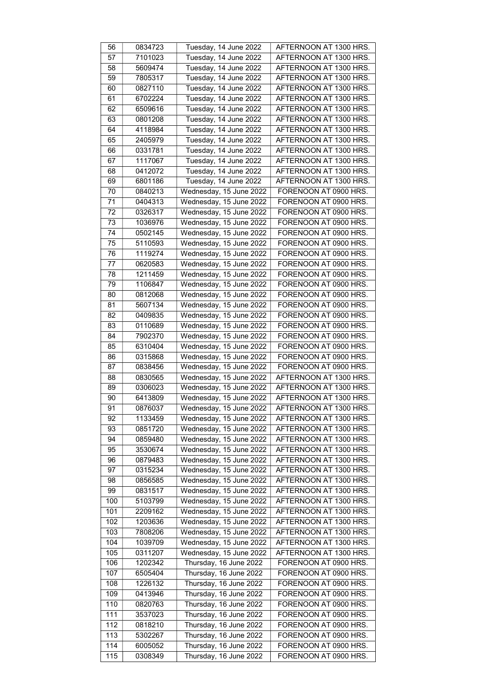| 56               | 0834723 | Tuesday, 14 June 2022                              | AFTERNOON AT 1300 HRS. |
|------------------|---------|----------------------------------------------------|------------------------|
| 57               | 7101023 | Tuesday, 14 June 2022                              | AFTERNOON AT 1300 HRS. |
| 58               | 5609474 | Tuesday, 14 June 2022                              | AFTERNOON AT 1300 HRS. |
| 59               | 7805317 | Tuesday, 14 June 2022                              | AFTERNOON AT 1300 HRS. |
| 60               | 0827110 | Tuesday, 14 June 2022                              | AFTERNOON AT 1300 HRS. |
| 61               | 6702224 | Tuesday, 14 June 2022                              | AFTERNOON AT 1300 HRS. |
| 62               | 6509616 | Tuesday, 14 June 2022                              | AFTERNOON AT 1300 HRS. |
| 63               | 0801208 | Tuesday, 14 June 2022                              | AFTERNOON AT 1300 HRS. |
| 64               | 4118984 | Tuesday, 14 June 2022                              | AFTERNOON AT 1300 HRS. |
| 65               | 2405979 | Tuesday, 14 June 2022                              | AFTERNOON AT 1300 HRS. |
| 66               | 0331781 | Tuesday, 14 June 2022                              | AFTERNOON AT 1300 HRS. |
| 67               | 1117067 | Tuesday, 14 June 2022                              | AFTERNOON AT 1300 HRS. |
| 68               | 0412072 | Tuesday, 14 June 2022                              | AFTERNOON AT 1300 HRS. |
| 69               | 6801186 | Tuesday, 14 June 2022                              | AFTERNOON AT 1300 HRS. |
|                  |         |                                                    |                        |
| 70               | 0840213 | Wednesday, 15 June 2022<br>Wednesday, 15 June 2022 | FORENOON AT 0900 HRS.  |
| 71               | 0404313 |                                                    | FORENOON AT 0900 HRS.  |
| $\overline{72}$  | 0326317 | Wednesday, 15 June 2022                            | FORENOON AT 0900 HRS.  |
| 73               | 1036976 | Wednesday, 15 June 2022                            | FORENOON AT 0900 HRS.  |
| 74               | 0502145 | Wednesday, 15 June 2022                            | FORENOON AT 0900 HRS.  |
| 75               | 5110593 | Wednesday, 15 June 2022                            | FORENOON AT 0900 HRS.  |
| 76               | 1119274 | Wednesday, 15 June 2022                            | FORENOON AT 0900 HRS.  |
| 77               | 0620583 | Wednesday, 15 June 2022                            | FORENOON AT 0900 HRS.  |
| 78               | 1211459 | Wednesday, 15 June 2022                            | FORENOON AT 0900 HRS.  |
| 79               | 1106847 | Wednesday, 15 June 2022                            | FORENOON AT 0900 HRS.  |
| 80               | 0812068 | Wednesday, 15 June 2022                            | FORENOON AT 0900 HRS.  |
| 81               | 5607134 | Wednesday, 15 June 2022                            | FORENOON AT 0900 HRS.  |
| 82               | 0409835 | Wednesday, 15 June 2022                            | FORENOON AT 0900 HRS.  |
| 83               | 0110689 | Wednesday, 15 June 2022                            | FORENOON AT 0900 HRS.  |
| 84               | 7902370 | Wednesday, 15 June 2022                            | FORENOON AT 0900 HRS.  |
| 85               | 6310404 | Wednesday, 15 June 2022                            | FORENOON AT 0900 HRS.  |
| 86               | 0315868 | Wednesday, 15 June 2022                            | FORENOON AT 0900 HRS.  |
| 87               | 0838456 | Wednesday, 15 June 2022                            | FORENOON AT 0900 HRS.  |
| 88               | 0830565 | Wednesday, 15 June 2022                            | AFTERNOON AT 1300 HRS. |
| 89               | 0306023 | Wednesday, 15 June 2022                            | AFTERNOON AT 1300 HRS. |
| 90               | 6413809 | Wednesday, 15 June 2022                            | AFTERNOON AT 1300 HRS. |
| 91               | 0876037 | Wednesday, 15 June 2022                            | AFTERNOON AT 1300 HRS. |
| 92               | 1133459 | Wednesday, 15 June 2022                            | AFTERNOON AT 1300 HRS. |
| 93               | 0851720 | Wednesday, 15 June 2022                            | AFTERNOON AT 1300 HRS. |
| 94               | 0859480 | Wednesday, 15 June 2022                            | AFTERNOON AT 1300 HRS. |
| 95               | 3530674 | Wednesday, 15 June 2022                            | AFTERNOON AT 1300 HRS. |
| 96               | 0879483 | Wednesday, 15 June 2022                            | AFTERNOON AT 1300 HRS. |
| 97               | 0315234 | Wednesday, 15 June 2022                            | AFTERNOON AT 1300 HRS. |
| 98               | 0856585 | Wednesday, 15 June 2022                            | AFTERNOON AT 1300 HRS. |
| 99               | 0831517 | Wednesday, 15 June 2022                            | AFTERNOON AT 1300 HRS. |
| 100              | 5103799 | Wednesday, 15 June 2022                            | AFTERNOON AT 1300 HRS. |
| 101              | 2209162 | Wednesday, 15 June 2022                            | AFTERNOON AT 1300 HRS. |
| 102              | 1203636 | Wednesday, 15 June 2022                            | AFTERNOON AT 1300 HRS. |
| 103              | 7808206 | Wednesday, 15 June 2022                            | AFTERNOON AT 1300 HRS. |
| 104              | 1039709 | Wednesday, 15 June 2022                            | AFTERNOON AT 1300 HRS. |
| 105              | 0311207 | Wednesday, 15 June 2022                            | AFTERNOON AT 1300 HRS. |
| 106              | 1202342 | Thursday, 16 June 2022                             | FORENOON AT 0900 HRS.  |
| 107              | 6505404 | Thursday, 16 June 2022                             | FORENOON AT 0900 HRS.  |
| 108              | 1226132 | Thursday, 16 June 2022                             | FORENOON AT 0900 HRS.  |
| 109              | 0413946 | Thursday, 16 June 2022                             | FORENOON AT 0900 HRS.  |
| 110              | 0820763 | Thursday, 16 June 2022                             | FORENOON AT 0900 HRS.  |
| 111              | 3537023 | Thursday, 16 June 2022                             | FORENOON AT 0900 HRS.  |
| 112              | 0818210 | Thursday, 16 June 2022                             | FORENOON AT 0900 HRS.  |
| 113              | 5302267 | Thursday, 16 June 2022                             | FORENOON AT 0900 HRS.  |
| 114              | 6005052 | Thursday, 16 June 2022                             | FORENOON AT 0900 HRS.  |
| $\overline{115}$ | 0308349 | Thursday, 16 June 2022                             | FORENOON AT 0900 HRS.  |
|                  |         |                                                    |                        |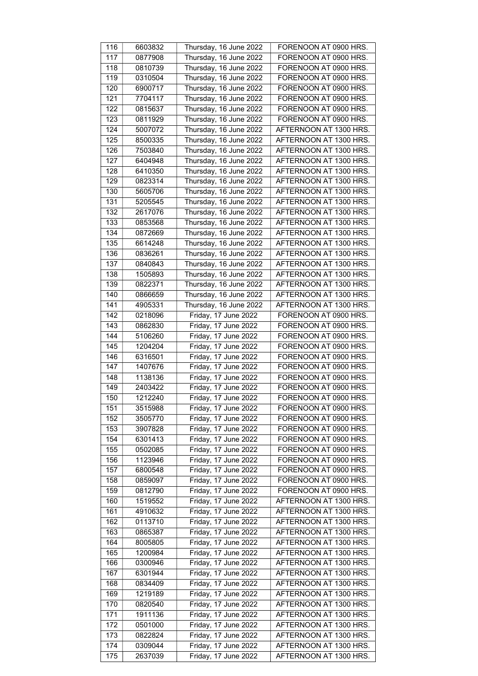| 116              | 6603832 | Thursday, 16 June 2022 | FORENOON AT 0900 HRS.  |
|------------------|---------|------------------------|------------------------|
| 117              | 0877908 | Thursday, 16 June 2022 | FORENOON AT 0900 HRS.  |
| $\overline{118}$ | 0810739 | Thursday, 16 June 2022 | FORENOON AT 0900 HRS.  |
| 119              | 0310504 | Thursday, 16 June 2022 | FORENOON AT 0900 HRS.  |
| 120              | 6900717 | Thursday, 16 June 2022 | FORENOON AT 0900 HRS.  |
| $\overline{121}$ | 7704117 | Thursday, 16 June 2022 | FORENOON AT 0900 HRS.  |
| 122              | 0815637 | Thursday, 16 June 2022 | FORENOON AT 0900 HRS.  |
| 123              | 0811929 | Thursday, 16 June 2022 | FORENOON AT 0900 HRS.  |
| 124              | 5007072 | Thursday, 16 June 2022 | AFTERNOON AT 1300 HRS. |
| 125              | 8500335 | Thursday, 16 June 2022 | AFTERNOON AT 1300 HRS. |
| 126              | 7503840 | Thursday, 16 June 2022 | AFTERNOON AT 1300 HRS. |
| 127              | 6404948 | Thursday, 16 June 2022 | AFTERNOON AT 1300 HRS. |
|                  |         |                        |                        |
| 128              | 6410350 | Thursday, 16 June 2022 | AFTERNOON AT 1300 HRS. |
| 129              | 0823314 | Thursday, 16 June 2022 | AFTERNOON AT 1300 HRS. |
| 130              | 5605706 | Thursday, 16 June 2022 | AFTERNOON AT 1300 HRS. |
| 131              | 5205545 | Thursday, 16 June 2022 | AFTERNOON AT 1300 HRS. |
| 132              | 2617076 | Thursday, 16 June 2022 | AFTERNOON AT 1300 HRS. |
| 133              | 0853568 | Thursday, 16 June 2022 | AFTERNOON AT 1300 HRS. |
| 134              | 0872669 | Thursday, 16 June 2022 | AFTERNOON AT 1300 HRS. |
| 135              | 6614248 | Thursday, 16 June 2022 | AFTERNOON AT 1300 HRS. |
| 136              | 0836261 | Thursday, 16 June 2022 | AFTERNOON AT 1300 HRS. |
| 137              | 0840843 | Thursday, 16 June 2022 | AFTERNOON AT 1300 HRS. |
| 138              | 1505893 | Thursday, 16 June 2022 | AFTERNOON AT 1300 HRS. |
| 139              | 0822371 | Thursday, 16 June 2022 | AFTERNOON AT 1300 HRS. |
| 140              | 0866659 | Thursday, 16 June 2022 | AFTERNOON AT 1300 HRS. |
| $\overline{141}$ | 4905331 | Thursday, 16 June 2022 | AFTERNOON AT 1300 HRS. |
| 142              | 0218096 | Friday, 17 June 2022   | FORENOON AT 0900 HRS.  |
| 143              | 0862830 | Friday, 17 June 2022   | FORENOON AT 0900 HRS.  |
| 144              | 5106260 | Friday, 17 June 2022   | FORENOON AT 0900 HRS.  |
| 145              | 1204204 | Friday, 17 June 2022   | FORENOON AT 0900 HRS.  |
| 146              | 6316501 | Friday, 17 June 2022   | FORENOON AT 0900 HRS.  |
| $\overline{147}$ | 1407676 | Friday, 17 June 2022   | FORENOON AT 0900 HRS.  |
| 148              | 1138136 | Friday, 17 June 2022   | FORENOON AT 0900 HRS.  |
| 149              | 2403422 | Friday, 17 June 2022   | FORENOON AT 0900 HRS.  |
| 150              | 1212240 | Friday, 17 June 2022   | FORENOON AT 0900 HRS.  |
| 151              | 3515988 | Friday, 17 June 2022   | FORENOON AT 0900 HRS.  |
| 152              | 3505770 | Friday, 17 June 2022   | FORENOON AT 0900 HRS.  |
| 153              | 3907828 | Friday, 17 June 2022   | FORENOON AT 0900 HRS.  |
| 154              | 6301413 | Friday, 17 June 2022   | FORENOON AT 0900 HRS.  |
| 155              | 0502085 | Friday, 17 June 2022   | FORENOON AT 0900 HRS.  |
| 156              | 1123946 | Friday, 17 June 2022   | FORENOON AT 0900 HRS.  |
| 157              | 6800548 | Friday, 17 June 2022   | FORENOON AT 0900 HRS.  |
| 158              |         |                        | FORENOON AT 0900 HRS.  |
|                  | 0859097 | Friday, 17 June 2022   |                        |
| 159              | 0812790 | Friday, 17 June 2022   | FORENOON AT 0900 HRS.  |
| 160              | 1519552 | Friday, 17 June 2022   | AFTERNOON AT 1300 HRS. |
| 161              | 4910632 | Friday, 17 June 2022   | AFTERNOON AT 1300 HRS. |
| 162              | 0113710 | Friday, 17 June 2022   | AFTERNOON AT 1300 HRS. |
| 163              | 0865387 | Friday, 17 June 2022   | AFTERNOON AT 1300 HRS. |
| 164              | 8005805 | Friday, 17 June 2022   | AFTERNOON AT 1300 HRS. |
| 165              | 1200984 | Friday, 17 June 2022   | AFTERNOON AT 1300 HRS. |
| 166              | 0300946 | Friday, 17 June 2022   | AFTERNOON AT 1300 HRS. |
| 167              | 6301944 | Friday, 17 June 2022   | AFTERNOON AT 1300 HRS. |
| 168              | 0834409 | Friday, 17 June 2022   | AFTERNOON AT 1300 HRS. |
| 169              | 1219189 | Friday, 17 June 2022   | AFTERNOON AT 1300 HRS. |
| 170              | 0820540 | Friday, 17 June 2022   | AFTERNOON AT 1300 HRS. |
| 171              | 1911136 | Friday, 17 June 2022   | AFTERNOON AT 1300 HRS. |
| 172              | 0501000 | Friday, 17 June 2022   | AFTERNOON AT 1300 HRS. |
| 173              | 0822824 | Friday, 17 June 2022   | AFTERNOON AT 1300 HRS. |
| 174              | 0309044 | Friday, 17 June 2022   | AFTERNOON AT 1300 HRS. |
| 175              | 2637039 | Friday, 17 June 2022   | AFTERNOON AT 1300 HRS. |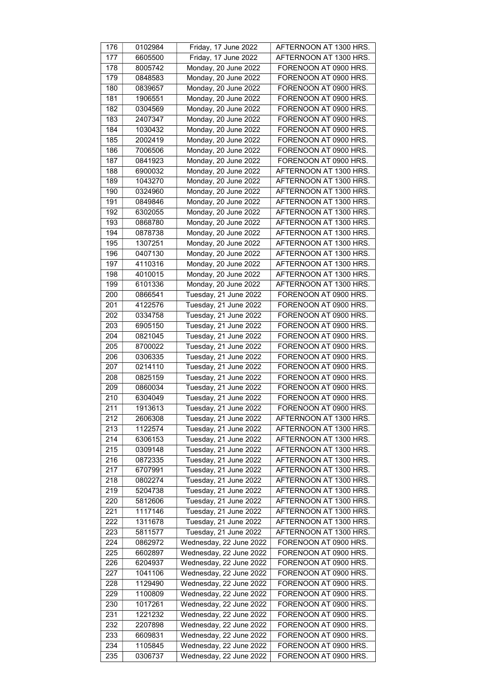| 176 | 0102984 | Friday, 17 June 2022    | AFTERNOON AT 1300 HRS. |
|-----|---------|-------------------------|------------------------|
| 177 | 6605500 | Friday, 17 June 2022    | AFTERNOON AT 1300 HRS. |
| 178 | 8005742 | Monday, 20 June 2022    | FORENOON AT 0900 HRS.  |
| 179 | 0848583 | Monday, 20 June 2022    | FORENOON AT 0900 HRS.  |
| 180 | 0839657 | Monday, 20 June 2022    | FORENOON AT 0900 HRS.  |
| 181 | 1906551 | Monday, 20 June 2022    | FORENOON AT 0900 HRS.  |
| 182 | 0304569 | Monday, 20 June 2022    | FORENOON AT 0900 HRS.  |
| 183 | 2407347 | Monday, 20 June 2022    | FORENOON AT 0900 HRS.  |
| 184 | 1030432 | Monday, 20 June 2022    | FORENOON AT 0900 HRS.  |
| 185 | 2002419 | Monday, 20 June 2022    | FORENOON AT 0900 HRS.  |
| 186 | 7006506 | Monday, 20 June 2022    | FORENOON AT 0900 HRS.  |
| 187 | 0841923 | Monday, 20 June 2022    | FORENOON AT 0900 HRS.  |
|     |         |                         |                        |
| 188 | 6900032 | Monday, 20 June 2022    | AFTERNOON AT 1300 HRS. |
| 189 | 1043270 | Monday, 20 June 2022    | AFTERNOON AT 1300 HRS. |
| 190 | 0324960 | Monday, 20 June 2022    | AFTERNOON AT 1300 HRS. |
| 191 | 0849846 | Monday, 20 June 2022    | AFTERNOON AT 1300 HRS. |
| 192 | 6302055 | Monday, 20 June 2022    | AFTERNOON AT 1300 HRS. |
| 193 | 0868780 | Monday, 20 June 2022    | AFTERNOON AT 1300 HRS. |
| 194 | 0878738 | Monday, 20 June 2022    | AFTERNOON AT 1300 HRS. |
| 195 | 1307251 | Monday, 20 June 2022    | AFTERNOON AT 1300 HRS. |
| 196 | 0407130 | Monday, 20 June 2022    | AFTERNOON AT 1300 HRS. |
| 197 | 4110316 | Monday, 20 June 2022    | AFTERNOON AT 1300 HRS. |
| 198 | 4010015 | Monday, 20 June 2022    | AFTERNOON AT 1300 HRS. |
| 199 | 6101336 | Monday, 20 June 2022    | AFTERNOON AT 1300 HRS. |
| 200 | 0866541 | Tuesday, 21 June 2022   | FORENOON AT 0900 HRS.  |
| 201 | 4122576 | Tuesday, 21 June 2022   | FORENOON AT 0900 HRS.  |
| 202 | 0334758 | Tuesday, 21 June 2022   | FORENOON AT 0900 HRS.  |
| 203 | 6905150 | Tuesday, 21 June 2022   | FORENOON AT 0900 HRS.  |
| 204 | 0821045 | Tuesday, 21 June 2022   | FORENOON AT 0900 HRS.  |
| 205 | 8700022 | Tuesday, 21 June 2022   | FORENOON AT 0900 HRS.  |
| 206 | 0306335 | Tuesday, 21 June 2022   | FORENOON AT 0900 HRS.  |
| 207 | 0214110 | Tuesday, 21 June 2022   | FORENOON AT 0900 HRS.  |
| 208 | 0825159 | Tuesday, 21 June 2022   | FORENOON AT 0900 HRS.  |
| 209 | 0860034 | Tuesday, 21 June 2022   | FORENOON AT 0900 HRS.  |
| 210 | 6304049 | Tuesday, 21 June 2022   | FORENOON AT 0900 HRS.  |
| 211 | 1913613 | Tuesday, 21 June 2022   | FORENOON AT 0900 HRS.  |
| 212 | 2606308 | Tuesday, 21 June 2022   | AFTERNOON AT 1300 HRS. |
| 213 | 1122574 | Tuesday, 21 June 2022   | AFTERNOON AT 1300 HRS. |
| 214 | 6306153 | Tuesday, 21 June 2022   | AFTERNOON AT 1300 HRS. |
| 215 | 0309148 | Tuesday, 21 June 2022   | AFTERNOON AT 1300 HRS. |
| 216 | 0872335 | Tuesday, 21 June 2022   | AFTERNOON AT 1300 HRS. |
|     |         |                         | AFTERNOON AT 1300 HRS. |
| 217 | 6707991 | Tuesday, 21 June 2022   |                        |
| 218 | 0802274 | Tuesday, 21 June 2022   | AFTERNOON AT 1300 HRS. |
| 219 | 5204738 | Tuesday, 21 June 2022   | AFTERNOON AT 1300 HRS. |
| 220 | 5812606 | Tuesday, 21 June 2022   | AFTERNOON AT 1300 HRS. |
| 221 | 1117146 | Tuesday, 21 June 2022   | AFTERNOON AT 1300 HRS. |
| 222 | 1311678 | Tuesday, 21 June 2022   | AFTERNOON AT 1300 HRS. |
| 223 | 5811577 | Tuesday, 21 June 2022   | AFTERNOON AT 1300 HRS. |
| 224 | 0862972 | Wednesday, 22 June 2022 | FORENOON AT 0900 HRS.  |
| 225 | 6602897 | Wednesday, 22 June 2022 | FORENOON AT 0900 HRS.  |
| 226 | 6204937 | Wednesday, 22 June 2022 | FORENOON AT 0900 HRS.  |
| 227 | 1041106 | Wednesday, 22 June 2022 | FORENOON AT 0900 HRS.  |
| 228 | 1129490 | Wednesday, 22 June 2022 | FORENOON AT 0900 HRS.  |
| 229 | 1100809 | Wednesday, 22 June 2022 | FORENOON AT 0900 HRS.  |
| 230 | 1017261 | Wednesday, 22 June 2022 | FORENOON AT 0900 HRS.  |
| 231 | 1221232 | Wednesday, 22 June 2022 | FORENOON AT 0900 HRS.  |
| 232 | 2207898 | Wednesday, 22 June 2022 | FORENOON AT 0900 HRS.  |
| 233 | 6609831 | Wednesday, 22 June 2022 | FORENOON AT 0900 HRS.  |
| 234 | 1105845 | Wednesday, 22 June 2022 | FORENOON AT 0900 HRS.  |
| 235 | 0306737 | Wednesday, 22 June 2022 | FORENOON AT 0900 HRS.  |
|     |         |                         |                        |